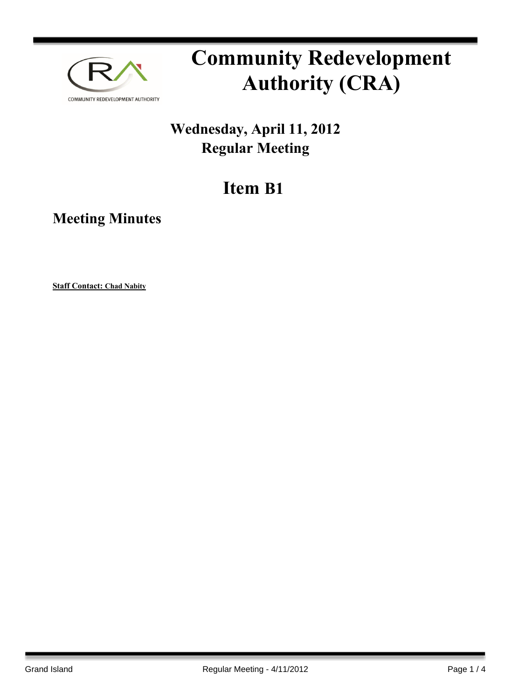

# **Community Redevelopment Authority (CRA)**

### **Wednesday, April 11, 2012 Regular Meeting**

## **Item B1**

**Meeting Minutes**

**Staff Contact: Chad Nabity**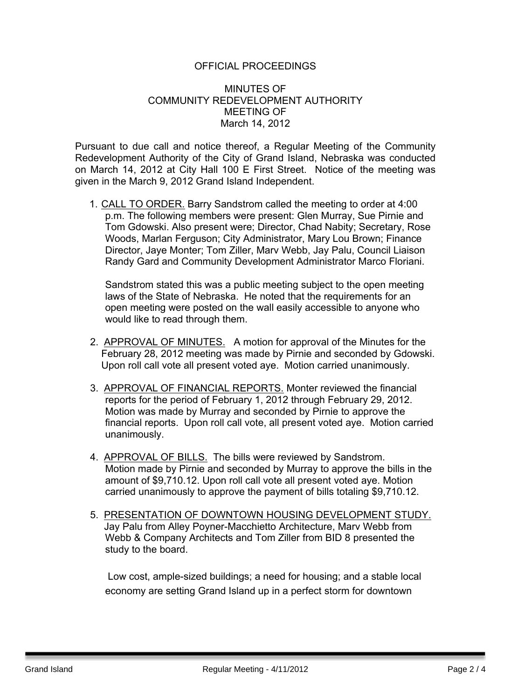### OFFICIAL PROCEEDINGS

### MINUTES OF COMMUNITY REDEVELOPMENT AUTHORITY MEETING OF March 14, 2012

Pursuant to due call and notice thereof, a Regular Meeting of the Community Redevelopment Authority of the City of Grand Island, Nebraska was conducted on March 14, 2012 at City Hall 100 E First Street. Notice of the meeting was given in the March 9, 2012 Grand Island Independent.

1. CALL TO ORDER. Barry Sandstrom called the meeting to order at 4:00 p.m. The following members were present: Glen Murray, Sue Pirnie and Tom Gdowski. Also present were; Director, Chad Nabity; Secretary, Rose Woods, Marlan Ferguson; City Administrator, Mary Lou Brown; Finance Director, Jaye Monter; Tom Ziller, Marv Webb, Jay Palu, Council Liaison Randy Gard and Community Development Administrator Marco Floriani.

Sandstrom stated this was a public meeting subject to the open meeting laws of the State of Nebraska. He noted that the requirements for an open meeting were posted on the wall easily accessible to anyone who would like to read through them.

- 2. APPROVAL OF MINUTES. A motion for approval of the Minutes for the February 28, 2012 meeting was made by Pirnie and seconded by Gdowski. Upon roll call vote all present voted aye. Motion carried unanimously.
- 3. APPROVAL OF FINANCIAL REPORTS. Monter reviewed the financial reports for the period of February 1, 2012 through February 29, 2012. Motion was made by Murray and seconded by Pirnie to approve the financial reports. Upon roll call vote, all present voted aye. Motion carried unanimously.
- 4. APPROVAL OF BILLS. The bills were reviewed by Sandstrom. Motion made by Pirnie and seconded by Murray to approve the bills in the amount of \$9,710.12. Upon roll call vote all present voted aye. Motion carried unanimously to approve the payment of bills totaling \$9,710.12.
- 5. PRESENTATION OF DOWNTOWN HOUSING DEVELOPMENT STUDY. Jay Palu from Alley Poyner-Macchietto Architecture, Marv Webb from Webb & Company Architects and Tom Ziller from BID 8 presented the study to the board.

Low cost, ample-sized buildings; a need for housing; and a stable local economy are setting Grand Island up in a perfect storm for downtown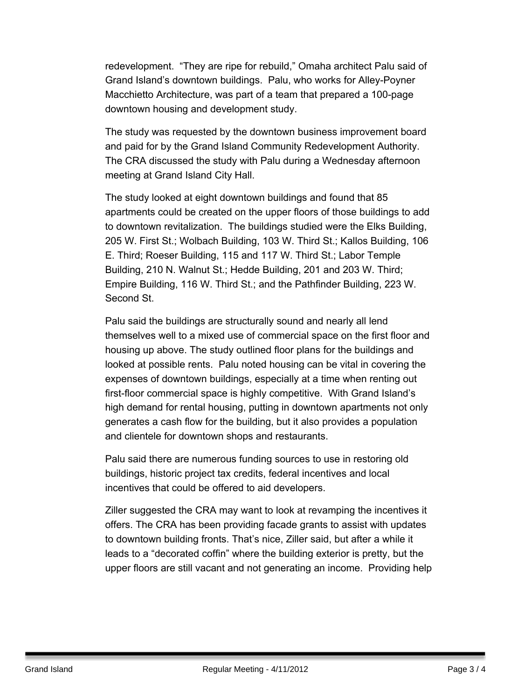redevelopment. "They are ripe for rebuild," Omaha architect Palu said of Grand Island's downtown buildings. Palu, who works for Alley-Poyner Macchietto Architecture, was part of a team that prepared a 100-page downtown housing and development study.

The study was requested by the downtown business improvement board and paid for by the Grand Island Community Redevelopment Authority. The CRA discussed the study with Palu during a Wednesday afternoon meeting at Grand Island City Hall.

The study looked at eight downtown buildings and found that 85 apartments could be created on the upper floors of those buildings to add to downtown revitalization. The buildings studied were the Elks Building, 205 W. First St.; Wolbach Building, 103 W. Third St.; Kallos Building, 106 E. Third; Roeser Building, 115 and 117 W. Third St.; Labor Temple Building, 210 N. Walnut St.; Hedde Building, 201 and 203 W. Third; Empire Building, 116 W. Third St.; and the Pathfinder Building, 223 W. Second St.

Palu said the buildings are structurally sound and nearly all lend themselves well to a mixed use of commercial space on the first floor and housing up above. The study outlined floor plans for the buildings and looked at possible rents. Palu noted housing can be vital in covering the expenses of downtown buildings, especially at a time when renting out first-floor commercial space is highly competitive. With Grand Island's high demand for rental housing, putting in downtown apartments not only generates a cash flow for the building, but it also provides a population and clientele for downtown shops and restaurants.

Palu said there are numerous funding sources to use in restoring old buildings, historic project tax credits, federal incentives and local incentives that could be offered to aid developers.

Ziller suggested the CRA may want to look at revamping the incentives it offers. The CRA has been providing facade grants to assist with updates to downtown building fronts. That's nice, Ziller said, but after a while it leads to a "decorated coffin" where the building exterior is pretty, but the upper floors are still vacant and not generating an income. Providing help